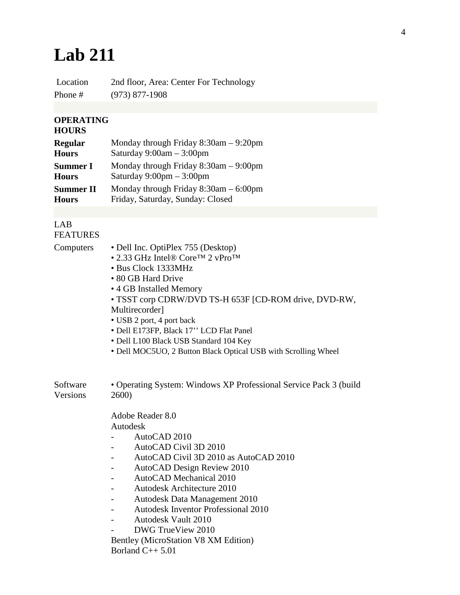## **Lab 211**

Location 2nd floor, Area: Center For Technology Phone # (973) 877-1908

## **OPERATING**

## **HOURS**

| <b>Regular</b>   | Monday through Friday $8:30$ am $-9:20$ pm |
|------------------|--------------------------------------------|
| <b>Hours</b>     | Saturday $9:00am - 3:00pm$                 |
| <b>Summer I</b>  | Monday through Friday $8:30$ am $-9:00$ pm |
| <b>Hours</b>     | Saturday $9:00 \text{pm} - 3:00 \text{pm}$ |
| <b>Summer II</b> | Monday through Friday $8:30$ am $-6:00$ pm |
| <b>Hours</b>     | Friday, Saturday, Sunday: Closed           |

## LAB FEATURES

| Computers            | • Dell Inc. OptiPlex 755 (Desktop)<br>• 2.33 GHz Intel® Core <sup>TM</sup> 2 vPro <sup>TM</sup><br>• Bus Clock 1333MHz<br>• 80 GB Hard Drive<br>• 4 GB Installed Memory<br>• TSST corp CDRW/DVD TS-H 653F [CD-ROM drive, DVD-RW,<br>Multirecorder]<br>• USB 2 port, 4 port back<br>· Dell E173FP, Black 17" LCD Flat Panel<br>• Dell L100 Black USB Standard 104 Key<br>• Dell MOC5UO, 2 Button Black Optical USB with Scrolling Wheel |
|----------------------|----------------------------------------------------------------------------------------------------------------------------------------------------------------------------------------------------------------------------------------------------------------------------------------------------------------------------------------------------------------------------------------------------------------------------------------|
| Software<br>Versions | • Operating System: Windows XP Professional Service Pack 3 (build<br>2600)                                                                                                                                                                                                                                                                                                                                                             |
|                      | Adobe Reader 8.0<br>Autodesk<br>AutoCAD 2010<br>AutoCAD Civil 3D 2010<br>AutoCAD Civil 3D 2010 as AutoCAD 2010<br>AutoCAD Design Review 2010<br><b>AutoCAD</b> Mechanical 2010<br><b>Autodesk Architecture 2010</b><br>Autodesk Data Management 2010<br><b>Autodesk Inventor Professional 2010</b><br>$\qquad \qquad -$<br><b>Autodesk Vault 2010</b><br>DWG TrueView 2010<br>Bentley (MicroStation V8 XM Edition)                     |

Borland C++ 5.01